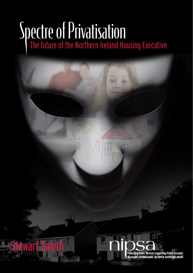# Spectre of Privatisation

vart Smy

Protecting Public Services Supporting Public Servants<br>Ag cosaint seirbhísí poiblí Ag tacú le seirbhísigh phoiblí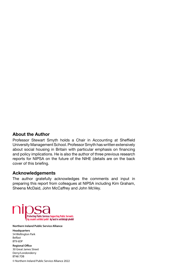#### **About the Author**

Professor Stewart Smyth holds a Chair in Accounting at Sheffield University Management School. Professor Smyth has written extensively about social housing in Britain with particular emphasis on financing and policy implications. He is also the author of three previous research reports for NIPSA on the future of the NIHE (details are on the back cover of this briefing.

#### **Acknowledgements**

The author gratefully acknowledges the comments and input in preparing this report from colleagues at NIPSA including Kim Graham, Sheena McDaid, John McCaffrey and John McVey.



#### **Northern Ireland Public Service Alliance**

**Headquarters** 54 Wellington Park Belfast BT9 6DP

**Regional Office** 30 Great James Street Derry/Londonderry BT48 7DB © Northern Ireland Public Service Alliance 2022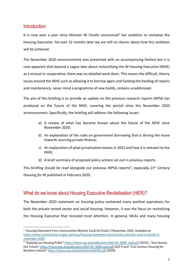#### **Introduction**

It is now over a year since Minister Ní Chuilín announced<sup>1</sup> her ambition to revitalise the Housing Executive. Yet over 12 months later we are still no clearer about how this ambition will be achieved.

The November 2020 announcement was presented with an accompanying fanfare but it is now apparent that beyond a vague idea about reclassifying the NI Housing Executive (NIHE) as a mutual or cooperative, there was no detailed work done. This means the difficult, thorny issues around the NIHE such as allowing it to borrow again and funding the backlog of repairs and maintenance, never mind a programme of new builds, remains unaddressed.

The aim of this briefing is to provide an update on the previous research reports NIPSA has produced on the future of the NIHE, covering the period since the November 2020 announcement. Specifically, the briefing will address the following issues:

- a) A review of what has become known about the future of the NIHE since November 2020;
- b) An explanation of the rules on government borrowing that is driving the move towards sourcing private finance;
- c) An explanation of what privatisation means in 2022 and how it is relevant to the NIHE;
- d) A brief summary of proposed policy actions set out in previous reports.

This briefing should be read alongside our previous NIPSA reports<sup>2</sup>, especially 21<sup>st</sup> Century *Housing for NI* published in February 2020.

#### What do we know about Housing Executive Revitalisation (HER)?

The November 2020 statement on housing policy contained many positive aspirations for both the private rented sector and social housing. However, it was the focus on revitalising the Housing Executive that received most attention. In general, MLAs and many housing

<sup>&</sup>lt;sup>1</sup> Housing Statement from Communities Minister Carál Ní Chuilín 3 November 2020. Available at: https://www.communities-ni.gov.uk/news/housing-statement-communities-minister-caral-ni-chuilin-3 november-2020

<sup>&</sup>lt;sup>2</sup> "Keeping our Housing Public" https://nipsa.org.uk/publications/Ref-A4\_0084\_web.pdf (2013), "Our Homes, Our Future" https://nipsa.org.uk/publications/Ref-A4\_0694-web.pdf (2017) and "21st Century Housing for Northern Ireland" https://nipsa.org.uk/publications/40295.pdf (2020)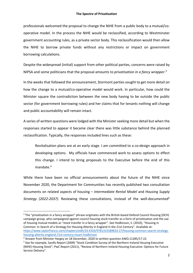professionals welcomed the proposal to change the NIHE from a public body to a mutual/cooperative model. In the process the NIHE would be reclassified, according to Westminster government accounting rules, as a private sector body. This reclassification would then allow the NIHE to borrow private funds without any restrictions or impact on government borrowing calculations.

Despite the widespread (initial) support from other political parties, concerns were raised by NIPSA and some politicians that the proposal amounts to *privatisation in a fancy wrapper*. 3

In the weeks that followed the announcement, Stormont parties sought to get more detail on how the change to a mutual/co-operative model would work. In particular, how could the Minister square the contradiction between the new body having to be outside the public sector (for government borrowing rules) and her claims that for tenants nothing will change and public accountability will remain intact.

A series of written questions were lodged with the Minister seeking more detail but when the responses started to appear it became clear there was little substance behind the planned reclassification. Typically, the responses included lines such as these:

Revitalisation plans are at an early stage. I am committed to a co-design approach in developing options. My officials have commenced work to assess options to effect this change. I intend to bring proposals to the Executive before the end of this mandate.4

While there have been no official announcements about the future of the NIHE since November 2020, the Department for Communities has recently published two consultation documents on related aspects of housing – *Intermediate Rental Model* and *Housing Supply Strategy (2022-2037)*. Reviewing these consultations, instead of the well-documented<sup>5</sup>

<sup>&</sup>lt;sup>3</sup> The "privatisation in a fancy wrapper" phrase originates with the British-based Defend Council Housing (DCH) campaign group, who campaigned against council housing stock transfer as a form of privatisation and the use of housing mutual models as "stock transfer in a fancy wrapper". See Hodkinson, S. (2010), "Housing in Common: In Search of a Strategy for Housing Alterity in England in the 21st Century". Available at: https://www.taylorfrancis.com/chapters/edit/10.4324/9781315589633-27/housing-common-search-strategyhousing-alterity-england-21st-century-stuart-hodkinson

<sup>4</sup> Answer from Minister Hargey on 18 December, 2020 to written question AWQ 11285/17-22.

<sup>5</sup> See for example, Savills Report (2009) "Stock Condition Survey of the Northern Ireland Housing Executive (NIHE) Housing Stock"; PwC Report (2011), "Review of Northern Ireland Housing Executive: Options for Future Service Delivery".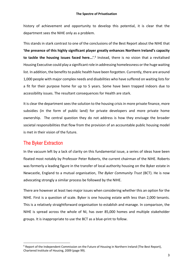history of achievement and opportunity to develop this potential, it is clear that the department sees the NIHE only as a problem.

This stands in stark contrast to one of the conclusions of the Best Report about the NIHE that **'the presence of this highly significant player greatly enhances Northern Ireland's capacity**  to tackle the housing issues faced here...'.<sup>6</sup> Instead, there is no vision that a revitalised Housing Executive could play a significant role in addressing homelessness or the huge waiting list. In addition, the benefits to public health have been forgotten. Currently, there are around 1,000 people with major complex needs and disabilities who have suffered on waiting lists for a fit for their purpose home for up to 5 years. Some have been trapped indoors due to accessibility issues. The resultant consequences for Health are stark.

It is clear the department sees the solution to the housing crisis in more private finance, more subsidies (in the form of public land) for private developers and more private home ownership. The central question they do not address is how they envisage the broader societal responsibilities that flow from the provision of an accountable public housing model is met in their vision of the future.

#### The Byker Extraction

In the vacuum left by a lack of clarity on this fundamental issue, a series of ideas have been floated most notably by Professor Peter Roberts, the current chairman of the NIHE. Roberts was formerly a leading figure in the transfer of local authority housing on the Byker estate in Newcastle, England to a mutual organisation, *The Byker Community Trust* (BCT). He is now advocating strongly a similar process be followed by the NIHE.

There are however at least two major issues when considering whether this an option for the NIHE. First is a question of scale. Byker is one housing estate with less than 2,000 tenants. This is a relatively straightforward organisation to establish and manage. In comparison, the NIHE is spread across the whole of NI, has over 85,000 homes and multiple stakeholder groups. It is inappropriate to use the BCT as a blue-print to follow.

 $6$  Report of the Independent Commission on the Future of Housing in Northern Ireland (The Best Report), Chartered Institute of Housing, 2009 (page 99).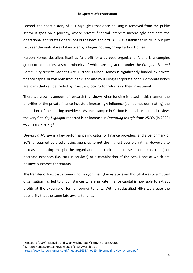Second, the short history of BCT highlights that once housing is removed from the public sector it goes on a journey, where private financial interests increasingly dominate the operational and strategic decisions of the new landlord. BCT was established in 2012, but just last year the mutual was taken over by a larger housing group Karbon Homes.

Karbon Homes describes itself as "a profit-for-a-purpose organisation", and is a complex group of companies, a small minority of which are registered under the *Co-operative and Community Benefit Societies Act*. Further, Karbon Homes is significantly funded by private finance capital drawn both from banks and also by issuing a corporate bond. Corporate bonds are loans that can be traded by investors, looking for returns on their investment.

There is a growing amount of research that shows when funding is raised in this manner, the priorities of the private finance investors increasingly influence (sometimes dominating) the operations of the housing provider.<sup>7</sup> As one example in Karbon Homes latest annual review, the very first *Key Highlight* reported is an increase in *Operating Margin* from 25.3% (in 2020) to 26.1% (in 2021).8

*Operating Margin* is a key performance indicator for finance providers, and a benchmark of 30% is required by credit rating agencies to get the highest possible rating. However, to increase operating margin the organisation must either increase income (i.e. rents) or decrease expenses (i.e. cuts in services) or a combination of the two. None of which are positive outcomes for tenants.

The transfer of Newcastle council housing on the Byker estate, even though it was to a mutual organisation has led to circumstances where private finance capital is now able to extract profits at the expense of former council tenants. With a reclassified NIHE we create the possibility that the same fate awaits tenants.

<sup>7</sup> Ginsburg (2005); Manville and Wainwright, (2017); Smyth et al (2020).

<sup>8</sup> Karbon Homes Annual Review 2021 (p. 3). Available at: https://www.karbonhomes.co.uk/media/13658/m0115449-annual-review-a4-web.pdf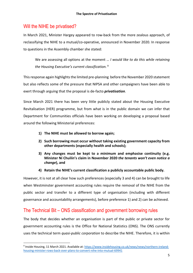## Will the NIHE be privatised?

In March 2021, Minister Hargey appeared to row-back from the more zealous approach, of reclassifying the NIHE to a mutual/co-operative, announced in November 2020. In response to questions in the Assembly chamber she stated:

We are assessing all options at the moment … *I would like to do this while retaining the Housing Executive's current classification.* <sup>9</sup>

This response again highlights the limited pre-planning before the November 2020 statement but also reflects some of the pressure that NIPSA and other campaigners have been able to exert through arguing that the proposal is de-facto *privatisation*.

Since March 2021 there has been very little publicly stated about the Housing Executive Revitalisation (HER) programme, but from what is in the public domain we can infer that Department for Communities officials have been working on developing a proposal based around the following Ministerial preferences:

- **1) The NIHE must be allowed to borrow again;**
- **2) Such borrowing must occur without taking existing government capacity from other departments (especially health and schools);**
- **3) Any changes must be kept to a minimum and emphasise continuity (e.g. Minister Ní Chuilín's claim in November 2020** *the tenants won't even notice a change***), and**
- **4) Retain the NIHE's current classification a publicly accountable public body.**

However, it is not at all clear how such preferences (especially 3 and 4) can be brought to life when Westminster government accounting rules require the removal of the NIHE from the public sector and transfer to a different type of organisation (including with different governance and accountability arrangements), before preference 1) and 2) can be achieved.

# The Technical Bit – ONS classification and government borrowing rules

The body that decides whether an organisation is part of the public or private sector for government accounting rules is the Office for National Statistics (ONS). The ONS currently uses the technical term *quasi-public corporation* to describe the NIHE. Therefore, it is within

<sup>9</sup> Inside Housing, 11 March 2021. Available at: https://www.insidehousing.co.uk/news/news/northern-irelandhousing-minister-rows-back-over-plans-to-convert-nihe-into-mutual-69941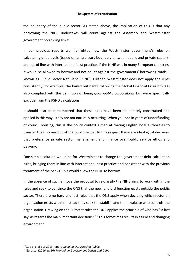the boundary of the public sector. As stated above, the implication of this is that any borrowing the NIHE undertakes will count against the Assembly and Westminster government borrowing limits.

In our previous reports we highlighted how the Westminster government's rules on calculating debt levels (based on an arbitrary boundary between public and private sectors) are out of line with international best practice. If the NIHE was in many European countries, it would be allowed to borrow and not count against the governments' borrowing totals – known as Public Sector Net Debt (PSND). Further, Westminster does not apply the rules consistently; for example, the bailed out banks following the Global Financial Crisis of 2008 also complied with the definition of being *quasi-public corporations* but were specifically exclude from the PSND calculations.<sup>10</sup>

It should also be remembered that these rules have been deliberately constructed and applied in this way – they are not naturally occurring. When you add in years of underfunding of council housing, this is the policy context aimed at forcing English local authorities to transfer their homes out of the public sector. In this respect these are ideological decisions that preference private sector management and finance over public service ethos and delivery.

One simple solution would be for Westminster to change the government debt calculation rules, bringing them in line with international best practice and consistent with the previous treatment of the banks. This would allow the NIHE to borrow.

In the absence of such a move the proposal to re-classify the NIHE aims to work within the rules and seek to convince the ONS that the new landlord function exists outside the public sector. There are no hard and fast rules that the ONS apply when deciding which sector an organisation exists within. Instead they seek to establish and then evaluate who controls the organisation. Drawing on the Eurostat rules the ONS applies the principle of who has "'a last say' as regards the main important decisions".<sup>11</sup> This sometimes results in a fluid and changing environment.

<sup>10</sup> See p. 6 of our 2013 report, *Keeping Our Housing Public.*

<sup>11</sup> Eurostat (2016, p. 16) *Manual on Government Deficit and Debt.*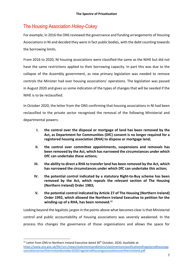# The Housing Association *Hokey-Cokey*

For example, in 2016 the ONS reviewed the governance and funding arrangements of Housing Associations in NI and decided they were in fact public bodies, with the debt counting towards the borrowing limits.

From 2016 to 2020, NI housing associations were classified the same as the NIHE but did not have the same restrictions applied to their borrowing capacity. In part this was due to the collapse of the Assembly government, as new primary legislation was needed to remove controls the Minister had over housing associations' operations. The legislation was passed in August 2020 and gives us some indication of the types of changes that will be needed if the NIHE is to be reclassified.

In October 2020, the letter from the ONS confirming that housing associations in NI had been reclassified to the private sector recognised the removal of the following Ministerial and departmental powers:

- **I. the control over the disposal or mortgage of land has been removed by the Act, as Department for Communities (DfC) consent is no longer required for a registered housing association (RHA) to dispose or mortgage land;**
- **II. the control over committee appointments, suspensions and removals has been removed by the Act, which has narrowed the circumstances under which DfC can undertake these actions;**
- **III. the ability to direct a RHA to transfer land has been removed by the Act, which has narrowed the circumstances under which DfC can undertake this action;**
- **IV. the potential control indicated by a statutory Right-to-Buy scheme has been removed by the Act, which repeals the relevant section of The Housing (Northern Ireland) Order 1983;**
- **V. the potential control indicated by Article 27 of The Housing (Northern Ireland) Order 1992, which allowed the Northern Ireland Executive to petition for the winding-up of a RHA, has been removed. 12**

Looking beyond the legalistic jargon in the points above what becomes clear is that Ministerial control and public accountability of housing associations was severely weakened. In the process this changes the governance of those organisations and allows the space for

 $12$  Letter from ONS to Northern Ireland Executive dated 30<sup>th</sup> October, 2020. Available at: https://www.ons.gov.uk/file?uri=/news/statementsandletters/statementonclassificationofregisteredhousinga ssociationsinnorthernirelandoctober2020/registeredhousingassociationsnorthernireland.pdf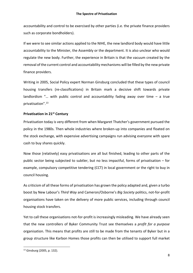accountability and control to be exercised by other parties (i.e. the private finance providers such as corporate bondholders).

If we were to see similar actions applied to the NIHE, the new landlord body would have little accountability to the Minister, the Assembly or the department. It is also unclear who would regulate the new body. Further, the experience in Britain is that the vacuum created by the removal of the current control and accountability mechanisms will be filled by the new private finance providers.

Writing in 2005, Social Policy expert Norman Ginsburg concluded that these types of council housing transfers (re-classifications) in Britain mark a decisive shift towards private landlordism "... with public control and accountability fading away over time  $-$  a true privatisation".13

#### **Privatisation in 21st Century**

Privatisation today is very different from when Margaret Thatcher's government pursued the policy in the 1980s. Then whole industries where broken-up into companies and floated on the stock exchange, with expensive advertising campaigns run advising everyone with spare cash to buy shares quickly.

Now those (relatively) easy privatisations are all but finished, leading to other parts of the public sector being subjected to subtler, but no less impactful, forms of privatisation – for example, compulsory competitive tendering (CCT) in local government or the right to buy in council housing.

As criticism of all these forms of privatisation has grown the policy adapted and, given a turbo boost by New Labour's *Third Way* and Cameron/Osborne's *Big Society* politics, not-for-profit organisations have taken on the delivery of more public services, including through council housing stock transfers.

Yet to call these organisations not-for-profit is increasingly misleading. We have already seen that the new controllers of Byker Community Trust see themselves a *profit for a purpose* organisation. This means that profits are still to be made from the tenants of Byker but in a group structure like Karbon Homes those profits can then be utilised to support full market

<sup>13</sup> Ginsburg (2005, p. 132).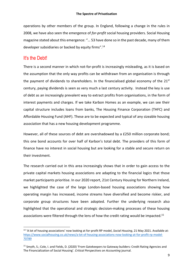operations by other members of the group. In England, following a change in the rules in 2008, we have also seen the emergence of *for-profit* social housing providers. Social Housing magazine stated about this emergence: "… 53 have done so in the past decade, many of them developer subsidiaries or backed by equity firms".14

## It's the Debt!

There is a second manner in which not-for-profit is increasingly misleading, as it is based on the assumption that the only way profits can be withdrawn from an organisation is through the payment of dividends to shareholders. In the financialised global economy of the  $21<sup>st</sup>$ century, paying dividends is seen as very much a last century activity. Instead the key is use of debt as an increasingly prevalent way to extract profits from organisations, in the form of interest payments and charges. If we take Karbon Homes as an example, we can see their capital structure includes loans from banks, The Housing Finance Corporation (THFC) and Affordable Housing Fund (AHF). These are to be expected and typical of any sizeable housing association that has a new housing development programme.

However, all of these sources of debt are overshadowed by a £250 million corporate bond; this one bond accounts for over half of Karbon's total debt. The providers of this form of finance have no interest in social housing but are looking for a stable and secure return on their investment.

The research carried out in this area increasingly shows that in order to gain access to the private capital markets housing associations are adapting to the financial logics that those market participants prioritise. In our 2020 report, 21st Century Housing for Northern Ireland, we highlighted the case of the large London-based housing associations showing how operating margin has increased, income streams have diversified and become riskier, and corporate group structures have been adopted. Further the underlying research also highlighted that the operational and strategic decision-making processes of these housing associations were filtered through the lens of how the credit rating would be impacted.<sup>15</sup>

<sup>14</sup> 'A lot of housing associations' now looking at for-profit RP model, *Social Housing*, 21 May 2021. Available at: https://www.socialhousing.co.uk/news/a-lot-of-housing-associations-now-looking-at-for-profit-rp-model-70789

<sup>15</sup> Smyth, S.; Cole, I. and Fields, D. (2020) 'From Gatekeepers to Gateway builders: Credit Rating Agencies and The Financialization of Social Housing'. *Critical Perspectives on Accounting* journal.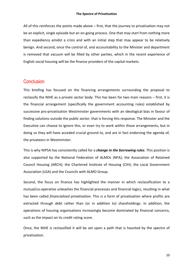All of this reinforces the points made above – first, that the journey to privatisation may not be an explicit, single episode but an on-going process. One that may start from nothing more than expediency amidst a crisis and with an initial step that may appear to be relatively benign. And second, once the control of, and accountability to the Minister and department is removed that vacuum will be filled by other parties, which in the recent experience of English social housing will be the finance providers of the capital markets.

#### **Conclusion**

This briefing has focused on the financing arrangements surrounding the proposal to reclassify the NIHE as a private sector body. This has been for two main reasons – first, it is the financial arrangement (specifically the government accounting rules) established by successive pro-privatisation Westminster governments with an ideological bias in favour of finding solutions outside the public sector, that is forcing this response. The Minister and the Executive can choose to ignore this, or even try to work within those arrangements, but in doing so they will have acceded crucial ground to, and are in fact endorsing the agenda of, the privateers in Westminster.

This is why NIPSA has consistently called for a *change in the borrowing rules*. This position is also supported by the National Federation of ALMOs (NFA); the Association of Retained Council Housing (ARCH); the Chartered Institute of Housing (CIH); the Local Government Association (LGA) and the Councils with ALMO Group.

Second, the focus on finance has highlighted the manner in which reclassification to a mutual/co-operative unleashes the financial processes and financial logics, resulting in what has been called *financialised privatisation*. This is a form of privatisation where profits are extracted through debt rather than (or in addition to) shareholdings. In addition, the operations of housing organisations increasingly become dominated by financial concerns, such as the impact on its credit rating score.

Once, the NIHE is reclassified it will be set upon a path that is haunted by the spectre of privatisation.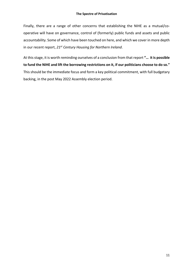#### **The Spectre of Privatisation**

Finally, there are a range of other concerns that establishing the NIHE as a mutual/cooperative will have on governance, control of (formerly) public funds and assets and public accountability. Some of which have been touched on here, and which we cover in more depth in our recent report, *21st Century Housing for Northern Ireland*.

At this stage, it is worth reminding ourselves of a conclusion from that report **"… it is possible to fund the NIHE and lift the borrowing restrictions on it, if our politicians choose to do so."** This should be the immediate focus and form a key political commitment, with full budgetary backing, in the post May 2022 Assembly election period.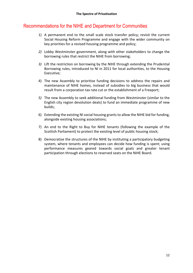# Recommendations for the NIHE and Department for Communities Recommendations for the NIHE and Department for Communities

- 1) A permanent end to the small scale stock transfer policy; revisit the current Social Housing Reform Programme and engage with the wider community on key priorities for a revised housing programme and policy;
- *2)* Lobby Westminster government, along with other stakeholders to change the borrowing rules that restrict the NIHE from borrowing;
- *3)* Lift the restriction on borrowing by the NIHE through extending the Prudential Borrowing rules, introduced to NI in 2011 for local authorities, to the Housing Executive;
- 4) The new Assembly to prioritise funding decisions to address the repairs and maintenance of NIHE homes, instead of subsidies to big business that would result from a corporation tax rate cut or the establishment of a Freeport;
- *5)* The new Assembly to seek additional funding from Westminster (similar to the English city region devolution deals) to fund an immediate programme of new builds;
- 6) Extending the existing NI social housing grants to allow the NIHE bid for funding, alongside existing housing associations;
- 7) An end to the Right to Buy for NIHE tenants (following the example of the Scottish Parliament) to protect the existing level of public housing stock;
- 8) Democratise the structures of the NIHE by instituting a participatory budgeting system, where tenants and employees can decide how funding is spent; using performance measures geared towards social goals and greater tenant participation through elections to reserved seats on the NIHE Board.